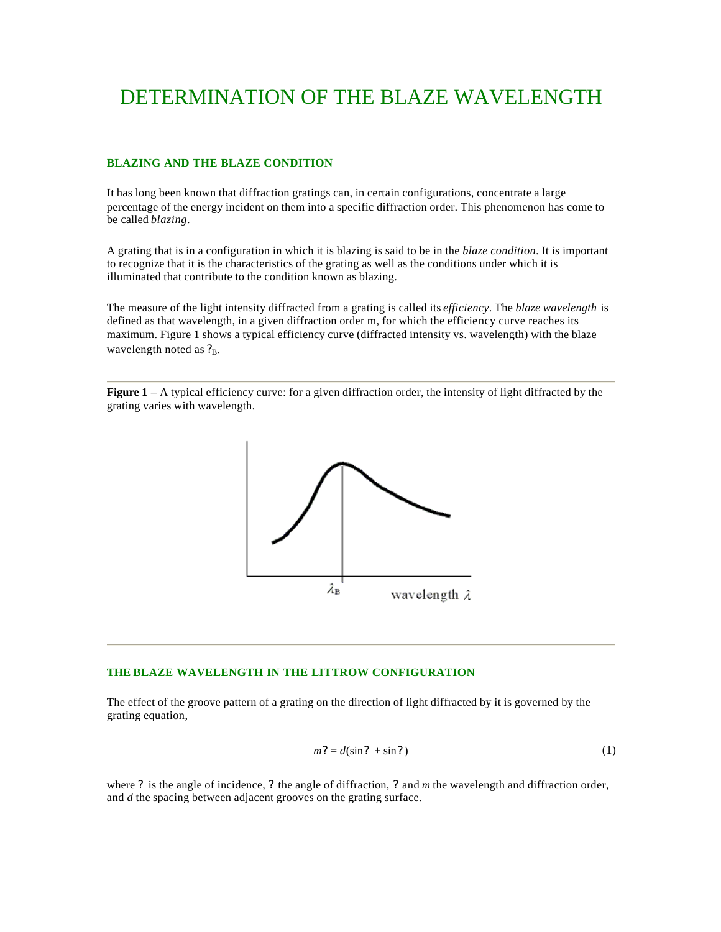# DETERMINATION OF THE BLAZE WAVELENGTH

# **BLAZING AND THE BLAZE CONDITION**

It has long been known that diffraction gratings can, in certain configurations, concentrate a large percentage of the energy incident on them into a specific diffraction order. This phenomenon has come to be called *blazing*.

A grating that is in a configuration in which it is blazing is said to be in the *blaze condition*. It is important to recognize that it is the characteristics of the grating as well as the conditions under which it is illuminated that contribute to the condition known as blazing.

The measure of the light intensity diffracted from a grating is called its *efficiency*. The *blaze wavelength* is defined as that wavelength, in a given diffraction order m, for which the efficiency curve reaches its maximum. Figure 1 shows a typical efficiency curve (diffracted intensity vs. wavelength) with the blaze wavelength noted as  $?_B$ .

**Figure 1** – A typical efficiency curve: for a given diffraction order, the intensity of light diffracted by the grating varies with wavelength.



# **THE BLAZE WAVELENGTH IN THE LITTROW CONFIGURATION**

The effect of the groove pattern of a grating on the direction of light diffracted by it is governed by the grating equation,

$$
m? = d(\sin ? + \sin ?)
$$
 (1)

where *?* is the angle of incidence, *?* the angle of diffraction, *?* and *m* the wavelength and diffraction order, and *d* the spacing between adjacent grooves on the grating surface.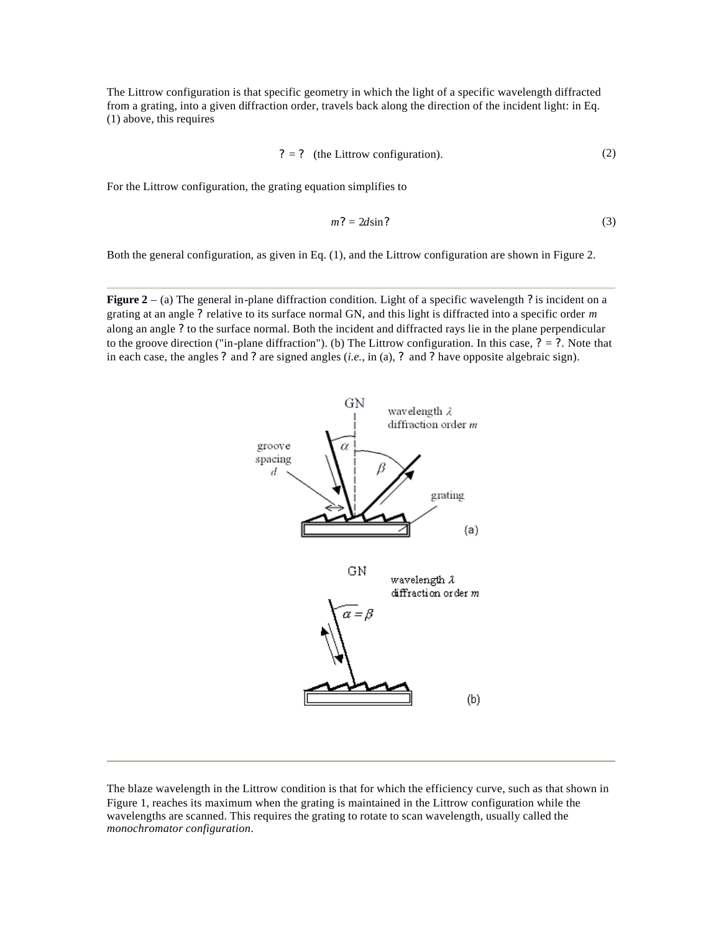The Littrow configuration is that specific geometry in which the light of a specific wavelength diffracted from a grating, into a given diffraction order, travels back along the direction of the incident light: in Eq. (1) above, this requires

$$
? = ? \quad \text{(the Littrow configuration).} \tag{2}
$$

For the Littrow configuration, the grating equation simplifies to

$$
m? = 2d\sin?
$$
 (3)

Both the general configuration, as given in Eq. (1), and the Littrow configuration are shown in Figure 2.

**Figure 2** – (a) The general in-plane diffraction condition. Light of a specific wavelength *?* is incident on a grating at an angle *?* relative to its surface normal GN, and this light is diffracted into a specific order *m* along an angle *?* to the surface normal. Both the incident and diffracted rays lie in the plane perpendicular to the groove direction ("in-plane diffraction"). (b) The Littrow configuration. In this case,  $? = ?$ . Note that in each case, the angles *?* and *?* are signed angles (*i.e.*, in (a), *?* and *?* have opposite algebraic sign).



The blaze wavelength in the Littrow condition is that for which the efficiency curve, such as that shown in Figure 1, reaches its maximum when the grating is maintained in the Littrow configuration while the wavelengths are scanned. This requires the grating to rotate to scan wavelength, usually called the *monochromator configuration*.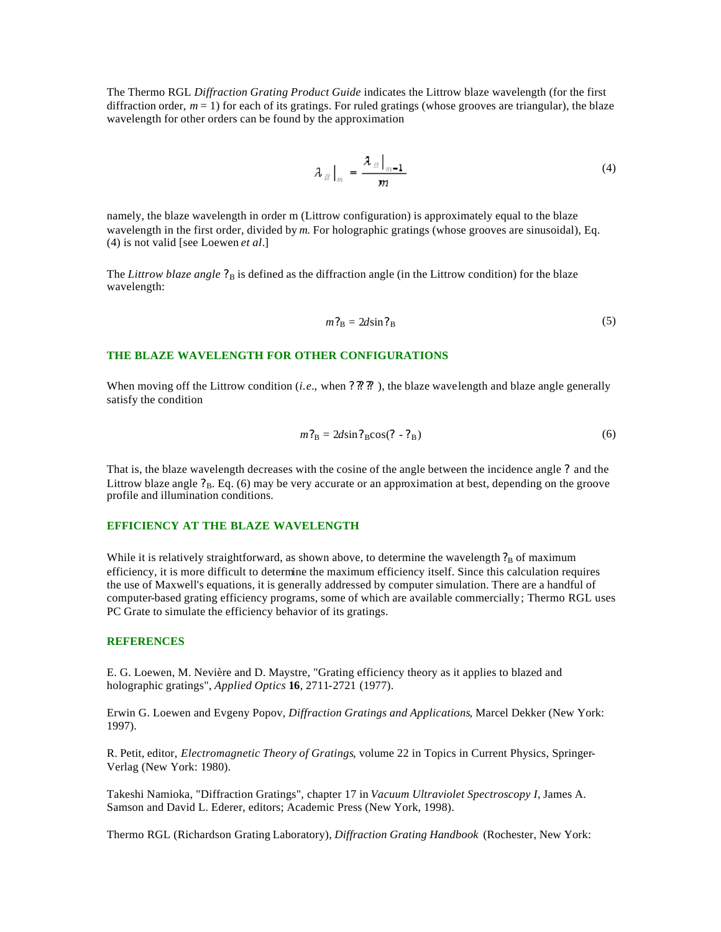The Thermo RGL *Diffraction Grating Product Guide* indicates the Littrow blaze wavelength (for the first diffraction order,  $m = 1$ ) for each of its gratings. For ruled gratings (whose grooves are triangular), the blaze wavelength for other orders can be found by the approximation

$$
\lambda_{B}\Big|_{m} = \frac{\lambda_{B}\Big|_{m=1}}{m} \tag{4}
$$

namely, the blaze wavelength in order m (Littrow configuration) is approximately equal to the blaze wavelength in the first order, divided by *m*. For holographic gratings (whose grooves are sinusoidal), Eq. (4) is not valid [see Loewen *et al*.]

The *Littrow blaze angle*  $?_B$  is defined as the diffraction angle (in the Littrow condition) for the blaze wavelength:

$$
m_{\rm B}^2 = 2d\sin^2{\ }_{\rm B} \tag{5}
$$

#### **THE BLAZE WAVELENGTH FOR OTHER CONFIGURATIONS**

When moving off the Littrow condition (*i.e.*, when  $?$  ?? ??), the blaze wavelength and blaze angle generally satisfy the condition

$$
m_{\rm B}^2 = 2d\sin 2\,\rm B} \cos (2 - 2\,\rm B})\tag{6}
$$

That is, the blaze wavelength decreases with the cosine of the angle between the incidence angle *?* and the Littrow blaze angle  $P_B$ . Eq. (6) may be very accurate or an approximation at best, depending on the groove profile and illumination conditions.

# **EFFICIENCY AT THE BLAZE WAVELENGTH**

While it is relatively straightforward, as shown above, to determine the wavelength  $?<sub>B</sub>$  of maximum efficiency, it is more difficult to determine the maximum efficiency itself. Since this calculation requires the use of Maxwell's equations, it is generally addressed by computer simulation. There are a handful of computer-based grating efficiency programs, some of which are available commercially; Thermo RGL uses PC Grate to simulate the efficiency behavior of its gratings.

# **REFERENCES**

E. G. Loewen, M. Nevière and D. Maystre, "Grating efficiency theory as it applies to blazed and holographic gratings", *Applied Optics* **16**, 2711-2721 (1977).

Erwin G. Loewen and Evgeny Popov, *Diffraction Gratings and Applications*, Marcel Dekker (New York: 1997).

R. Petit, editor, *Electromagnetic Theory of Gratings*, volume 22 in Topics in Current Physics, Springer-Verlag (New York: 1980).

Takeshi Namioka, "Diffraction Gratings", chapter 17 in *Vacuum Ultraviolet Spectroscopy I*, James A. Samson and David L. Ederer, editors; Academic Press (New York, 1998).

Thermo RGL (Richardson Grating Laboratory), *Diffraction Grating Handbook* (Rochester, New York: